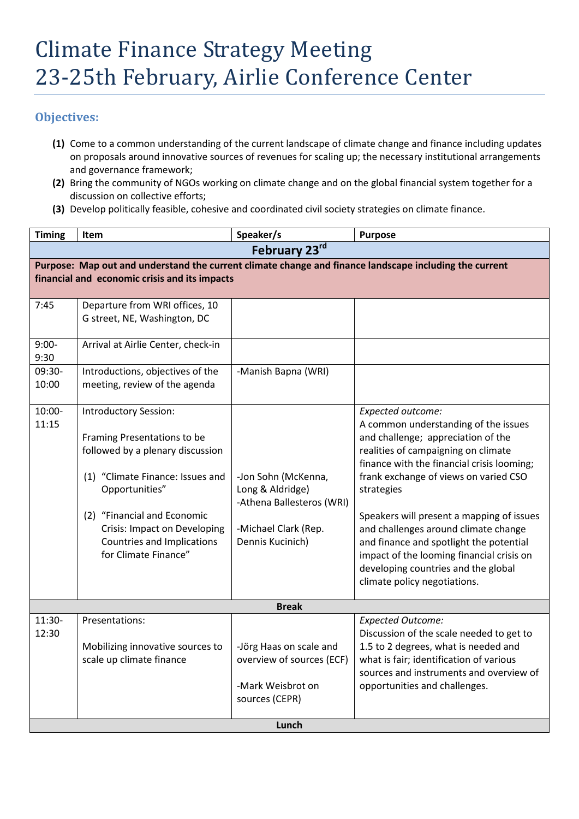## **Objectives:**

- **(1)** Come to a common understanding of the current landscape of climate change and finance including updates on proposals around innovative sources of revenues for scaling up; the necessary institutional arrangements and governance framework;
- **(2)** Bring the community of NGOs working on climate change and on the global financial system together for a discussion on collective efforts;
- **(3)** Develop politically feasible, cohesive and coordinated civil society strategies on climate finance.

| <b>Timing</b>                                                                                                                                           | Item                                                                                                                                                                                                                                                                       | Speaker/s                                                                                                        | <b>Purpose</b>                                                                                                                                                                                                                                                                                                                                                                                                                                                                                  |  |  |  |
|---------------------------------------------------------------------------------------------------------------------------------------------------------|----------------------------------------------------------------------------------------------------------------------------------------------------------------------------------------------------------------------------------------------------------------------------|------------------------------------------------------------------------------------------------------------------|-------------------------------------------------------------------------------------------------------------------------------------------------------------------------------------------------------------------------------------------------------------------------------------------------------------------------------------------------------------------------------------------------------------------------------------------------------------------------------------------------|--|--|--|
| February 23rd                                                                                                                                           |                                                                                                                                                                                                                                                                            |                                                                                                                  |                                                                                                                                                                                                                                                                                                                                                                                                                                                                                                 |  |  |  |
| Purpose: Map out and understand the current climate change and finance landscape including the current<br>financial and economic crisis and its impacts |                                                                                                                                                                                                                                                                            |                                                                                                                  |                                                                                                                                                                                                                                                                                                                                                                                                                                                                                                 |  |  |  |
| 7:45                                                                                                                                                    | Departure from WRI offices, 10<br>G street, NE, Washington, DC                                                                                                                                                                                                             |                                                                                                                  |                                                                                                                                                                                                                                                                                                                                                                                                                                                                                                 |  |  |  |
| $9:00-$<br>9:30                                                                                                                                         | Arrival at Airlie Center, check-in                                                                                                                                                                                                                                         |                                                                                                                  |                                                                                                                                                                                                                                                                                                                                                                                                                                                                                                 |  |  |  |
| 09:30-<br>10:00                                                                                                                                         | Introductions, objectives of the<br>meeting, review of the agenda                                                                                                                                                                                                          | -Manish Bapna (WRI)                                                                                              |                                                                                                                                                                                                                                                                                                                                                                                                                                                                                                 |  |  |  |
| 10:00-<br>11:15                                                                                                                                         | <b>Introductory Session:</b><br>Framing Presentations to be<br>followed by a plenary discussion<br>(1) "Climate Finance: Issues and<br>Opportunities"<br>(2) "Financial and Economic<br>Crisis: Impact on Developing<br>Countries and Implications<br>for Climate Finance" | -Jon Sohn (McKenna,<br>Long & Aldridge)<br>-Athena Ballesteros (WRI)<br>-Michael Clark (Rep.<br>Dennis Kucinich) | Expected outcome:<br>A common understanding of the issues<br>and challenge; appreciation of the<br>realities of campaigning on climate<br>finance with the financial crisis looming;<br>frank exchange of views on varied CSO<br>strategies<br>Speakers will present a mapping of issues<br>and challenges around climate change<br>and finance and spotlight the potential<br>impact of the looming financial crisis on<br>developing countries and the global<br>climate policy negotiations. |  |  |  |
|                                                                                                                                                         |                                                                                                                                                                                                                                                                            | <b>Break</b>                                                                                                     |                                                                                                                                                                                                                                                                                                                                                                                                                                                                                                 |  |  |  |
| 11:30-<br>12:30                                                                                                                                         | Presentations:<br>Mobilizing innovative sources to<br>scale up climate finance                                                                                                                                                                                             | -Jörg Haas on scale and<br>overview of sources (ECF)<br>-Mark Weisbrot on<br>sources (CEPR)                      | <b>Expected Outcome:</b><br>Discussion of the scale needed to get to<br>1.5 to 2 degrees, what is needed and<br>what is fair; identification of various<br>sources and instruments and overview of<br>opportunities and challenges.                                                                                                                                                                                                                                                             |  |  |  |
| Lunch                                                                                                                                                   |                                                                                                                                                                                                                                                                            |                                                                                                                  |                                                                                                                                                                                                                                                                                                                                                                                                                                                                                                 |  |  |  |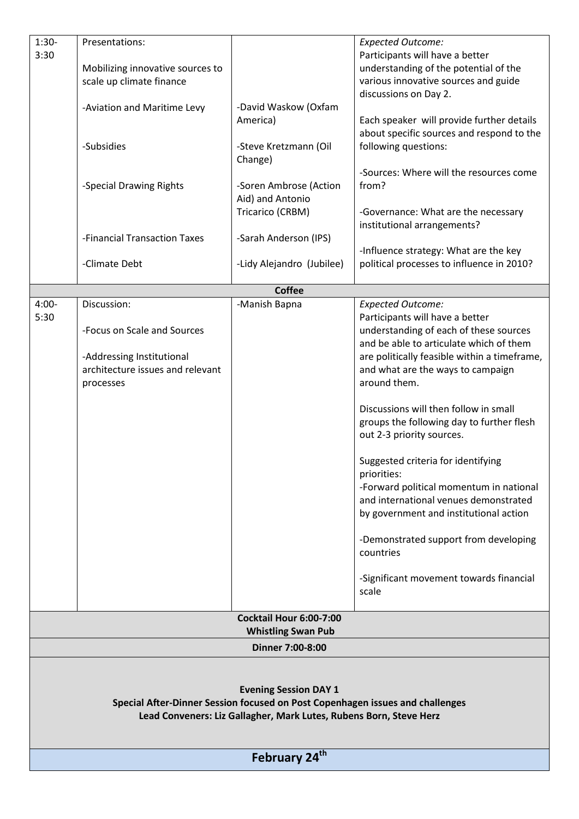| $1:30-$                                                                       | Presentations:                                                |                           | <b>Expected Outcome:</b>                          |  |  |  |  |
|-------------------------------------------------------------------------------|---------------------------------------------------------------|---------------------------|---------------------------------------------------|--|--|--|--|
| 3:30                                                                          |                                                               |                           | Participants will have a better                   |  |  |  |  |
|                                                                               | Mobilizing innovative sources to                              |                           | understanding of the potential of the             |  |  |  |  |
|                                                                               | scale up climate finance                                      |                           | various innovative sources and guide              |  |  |  |  |
|                                                                               |                                                               |                           | discussions on Day 2.                             |  |  |  |  |
|                                                                               | -Aviation and Maritime Levy                                   | -David Waskow (Oxfam      |                                                   |  |  |  |  |
|                                                                               |                                                               | America)                  | Each speaker will provide further details         |  |  |  |  |
|                                                                               |                                                               |                           | about specific sources and respond to the         |  |  |  |  |
|                                                                               | -Subsidies                                                    | -Steve Kretzmann (Oil     | following questions:                              |  |  |  |  |
|                                                                               |                                                               | Change)                   |                                                   |  |  |  |  |
|                                                                               |                                                               |                           | -Sources: Where will the resources come           |  |  |  |  |
|                                                                               | -Special Drawing Rights                                       | -Soren Ambrose (Action    | from?                                             |  |  |  |  |
|                                                                               |                                                               | Aid) and Antonio          |                                                   |  |  |  |  |
|                                                                               |                                                               | Tricarico (CRBM)          | -Governance: What are the necessary               |  |  |  |  |
|                                                                               |                                                               |                           | institutional arrangements?                       |  |  |  |  |
|                                                                               | -Financial Transaction Taxes                                  | -Sarah Anderson (IPS)     |                                                   |  |  |  |  |
|                                                                               |                                                               |                           | -Influence strategy: What are the key             |  |  |  |  |
|                                                                               | -Climate Debt                                                 | -Lidy Alejandro (Jubilee) | political processes to influence in 2010?         |  |  |  |  |
|                                                                               |                                                               |                           |                                                   |  |  |  |  |
|                                                                               |                                                               | <b>Coffee</b>             |                                                   |  |  |  |  |
| $4:00-$                                                                       | Discussion:                                                   | -Manish Bapna             | <b>Expected Outcome:</b>                          |  |  |  |  |
| 5:30                                                                          |                                                               |                           | Participants will have a better                   |  |  |  |  |
|                                                                               | -Focus on Scale and Sources                                   |                           | understanding of each of these sources            |  |  |  |  |
|                                                                               |                                                               |                           | and be able to articulate which of them           |  |  |  |  |
|                                                                               | -Addressing Institutional<br>architecture issues and relevant |                           | are politically feasible within a timeframe,      |  |  |  |  |
|                                                                               |                                                               |                           | and what are the ways to campaign<br>around them. |  |  |  |  |
|                                                                               | processes                                                     |                           |                                                   |  |  |  |  |
|                                                                               |                                                               |                           | Discussions will then follow in small             |  |  |  |  |
|                                                                               |                                                               |                           | groups the following day to further flesh         |  |  |  |  |
|                                                                               |                                                               |                           | out 2-3 priority sources.                         |  |  |  |  |
|                                                                               |                                                               |                           |                                                   |  |  |  |  |
|                                                                               |                                                               |                           | Suggested criteria for identifying                |  |  |  |  |
|                                                                               |                                                               |                           | priorities:                                       |  |  |  |  |
|                                                                               |                                                               |                           | -Forward political momentum in national           |  |  |  |  |
|                                                                               |                                                               |                           | and international venues demonstrated             |  |  |  |  |
|                                                                               |                                                               |                           | by government and institutional action            |  |  |  |  |
|                                                                               |                                                               |                           |                                                   |  |  |  |  |
|                                                                               |                                                               |                           | -Demonstrated support from developing             |  |  |  |  |
|                                                                               |                                                               |                           | countries                                         |  |  |  |  |
|                                                                               |                                                               |                           |                                                   |  |  |  |  |
|                                                                               |                                                               |                           | -Significant movement towards financial           |  |  |  |  |
|                                                                               |                                                               |                           | scale                                             |  |  |  |  |
|                                                                               |                                                               |                           |                                                   |  |  |  |  |
|                                                                               |                                                               | Cocktail Hour 6:00-7:00   |                                                   |  |  |  |  |
| <b>Whistling Swan Pub</b>                                                     |                                                               |                           |                                                   |  |  |  |  |
|                                                                               |                                                               | Dinner 7:00-8:00          |                                                   |  |  |  |  |
|                                                                               |                                                               |                           |                                                   |  |  |  |  |
|                                                                               |                                                               |                           |                                                   |  |  |  |  |
| <b>Evening Session DAY 1</b>                                                  |                                                               |                           |                                                   |  |  |  |  |
| Special After-Dinner Session focused on Post Copenhagen issues and challenges |                                                               |                           |                                                   |  |  |  |  |
| Lead Conveners: Liz Gallagher, Mark Lutes, Rubens Born, Steve Herz            |                                                               |                           |                                                   |  |  |  |  |
|                                                                               |                                                               |                           |                                                   |  |  |  |  |
|                                                                               |                                                               |                           |                                                   |  |  |  |  |
| February 24 <sup>th</sup>                                                     |                                                               |                           |                                                   |  |  |  |  |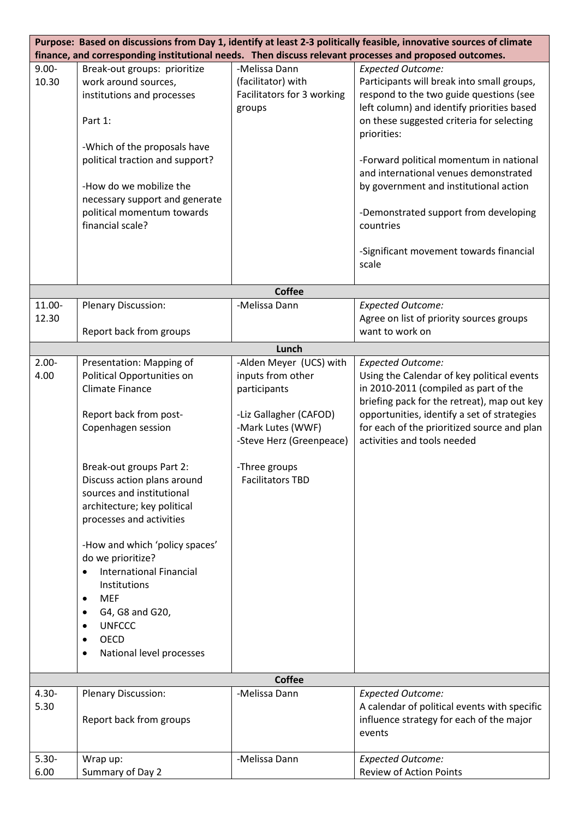| Purpose: Based on discussions from Day 1, identify at least 2-3 politically feasible, innovative sources of climate |                                 |                            |                                              |  |  |  |
|---------------------------------------------------------------------------------------------------------------------|---------------------------------|----------------------------|----------------------------------------------|--|--|--|
| finance, and corresponding institutional needs. Then discuss relevant processes and proposed outcomes.              |                                 |                            |                                              |  |  |  |
| $9.00 -$                                                                                                            | Break-out groups: prioritize    | -Melissa Dann              | <b>Expected Outcome:</b>                     |  |  |  |
| 10.30                                                                                                               | work around sources,            | (facilitator) with         | Participants will break into small groups,   |  |  |  |
|                                                                                                                     | institutions and processes      | Facilitators for 3 working | respond to the two guide questions (see      |  |  |  |
|                                                                                                                     |                                 | groups                     | left column) and identify priorities based   |  |  |  |
|                                                                                                                     | Part 1:                         |                            | on these suggested criteria for selecting    |  |  |  |
|                                                                                                                     |                                 |                            | priorities:                                  |  |  |  |
|                                                                                                                     | -Which of the proposals have    |                            |                                              |  |  |  |
|                                                                                                                     | political traction and support? |                            | -Forward political momentum in national      |  |  |  |
|                                                                                                                     |                                 |                            | and international venues demonstrated        |  |  |  |
|                                                                                                                     | -How do we mobilize the         |                            | by government and institutional action       |  |  |  |
|                                                                                                                     | necessary support and generate  |                            |                                              |  |  |  |
|                                                                                                                     | political momentum towards      |                            | -Demonstrated support from developing        |  |  |  |
|                                                                                                                     | financial scale?                |                            | countries                                    |  |  |  |
|                                                                                                                     |                                 |                            |                                              |  |  |  |
|                                                                                                                     |                                 |                            | -Significant movement towards financial      |  |  |  |
|                                                                                                                     |                                 |                            | scale                                        |  |  |  |
|                                                                                                                     |                                 |                            |                                              |  |  |  |
|                                                                                                                     |                                 | <b>Coffee</b>              |                                              |  |  |  |
| 11.00-                                                                                                              | <b>Plenary Discussion:</b>      | -Melissa Dann              | <b>Expected Outcome:</b>                     |  |  |  |
| 12.30                                                                                                               |                                 |                            | Agree on list of priority sources groups     |  |  |  |
|                                                                                                                     | Report back from groups         |                            | want to work on                              |  |  |  |
|                                                                                                                     |                                 | Lunch                      |                                              |  |  |  |
| $2.00 -$                                                                                                            | Presentation: Mapping of        | -Alden Meyer (UCS) with    | <b>Expected Outcome:</b>                     |  |  |  |
| 4.00                                                                                                                | Political Opportunities on      | inputs from other          | Using the Calendar of key political events   |  |  |  |
|                                                                                                                     | <b>Climate Finance</b>          | participants               | in 2010-2011 (compiled as part of the        |  |  |  |
|                                                                                                                     |                                 |                            | briefing pack for the retreat), map out key  |  |  |  |
|                                                                                                                     | Report back from post-          | -Liz Gallagher (CAFOD)     | opportunities, identify a set of strategies  |  |  |  |
|                                                                                                                     | Copenhagen session              | -Mark Lutes (WWF)          | for each of the prioritized source and plan  |  |  |  |
|                                                                                                                     |                                 | -Steve Herz (Greenpeace)   | activities and tools needed                  |  |  |  |
|                                                                                                                     |                                 |                            |                                              |  |  |  |
|                                                                                                                     | Break-out groups Part 2:        | -Three groups              |                                              |  |  |  |
|                                                                                                                     | Discuss action plans around     | <b>Facilitators TBD</b>    |                                              |  |  |  |
|                                                                                                                     | sources and institutional       |                            |                                              |  |  |  |
|                                                                                                                     | architecture; key political     |                            |                                              |  |  |  |
|                                                                                                                     | processes and activities        |                            |                                              |  |  |  |
|                                                                                                                     |                                 |                            |                                              |  |  |  |
|                                                                                                                     | -How and which 'policy spaces'  |                            |                                              |  |  |  |
|                                                                                                                     | do we prioritize?               |                            |                                              |  |  |  |
|                                                                                                                     | <b>International Financial</b>  |                            |                                              |  |  |  |
|                                                                                                                     | Institutions                    |                            |                                              |  |  |  |
|                                                                                                                     | <b>MEF</b><br>$\bullet$         |                            |                                              |  |  |  |
|                                                                                                                     | G4, G8 and G20,<br>٠            |                            |                                              |  |  |  |
|                                                                                                                     | <b>UNFCCC</b>                   |                            |                                              |  |  |  |
|                                                                                                                     | <b>OECD</b>                     |                            |                                              |  |  |  |
|                                                                                                                     | National level processes        |                            |                                              |  |  |  |
|                                                                                                                     |                                 |                            |                                              |  |  |  |
| <b>Coffee</b>                                                                                                       |                                 |                            |                                              |  |  |  |
| $4.30 -$                                                                                                            | Plenary Discussion:             | -Melissa Dann              | <b>Expected Outcome:</b>                     |  |  |  |
| 5.30                                                                                                                |                                 |                            | A calendar of political events with specific |  |  |  |
|                                                                                                                     | Report back from groups         |                            | influence strategy for each of the major     |  |  |  |
|                                                                                                                     |                                 |                            | events                                       |  |  |  |
|                                                                                                                     |                                 |                            |                                              |  |  |  |
| $5.30 -$                                                                                                            | Wrap up:                        | -Melissa Dann              | <b>Expected Outcome:</b>                     |  |  |  |
| 6.00                                                                                                                | Summary of Day 2                |                            | <b>Review of Action Points</b>               |  |  |  |